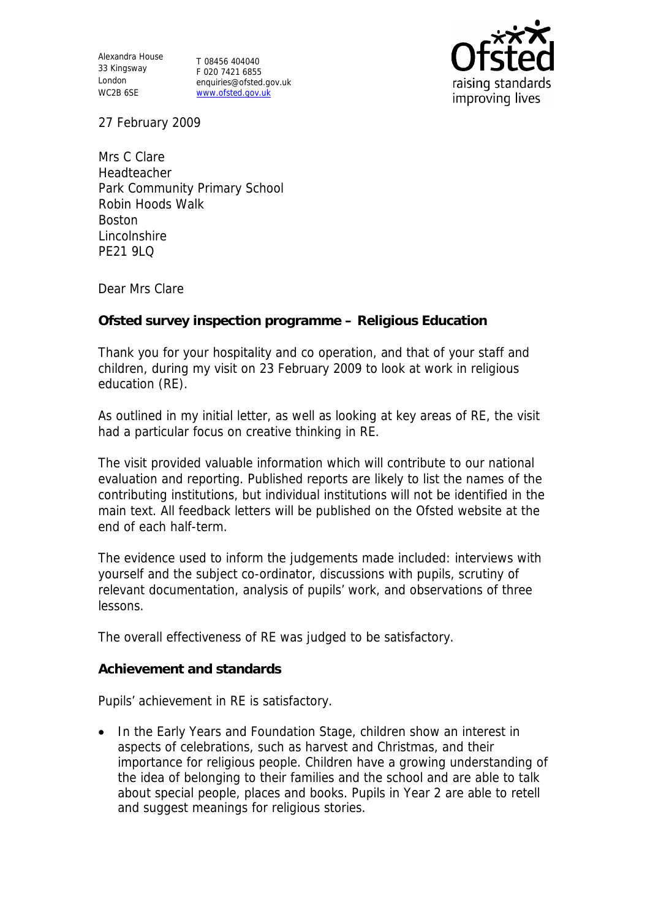Alexandra House 33 Kingsway T 08456 404040 London WC2B 6SE

F 020 7421 6855 enquiries@ofsted.gov.uk www.ofsted.gov.uk



27 February 2009

Mrs C Clare Headteacher Park Community Primary School Robin Hoods Walk Boston Lincolnshire PF21 9LQ

Dear Mrs Clare

**Ofsted survey inspection programme – Religious Education** 

Thank you for your hospitality and co operation, and that of your staff and children, during my visit on 23 February 2009 to look at work in religious education (RE).

As outlined in my initial letter, as well as looking at key areas of RE, the visit had a particular focus on creative thinking in RE.

The visit provided valuable information which will contribute to our national evaluation and reporting. Published reports are likely to list the names of the contributing institutions, but individual institutions will not be identified in the main text. All feedback letters will be published on the Ofsted website at the end of each half-term.

The evidence used to inform the judgements made included: interviews with yourself and the subject co-ordinator, discussions with pupils, scrutiny of relevant documentation, analysis of pupils' work, and observations of three lessons.

The overall effectiveness of RE was judged to be satisfactory.

**Achievement and standards** 

Pupils' achievement in RE is satisfactory.

• In the Early Years and Foundation Stage, children show an interest in aspects of celebrations, such as harvest and Christmas, and their importance for religious people. Children have a growing understanding of the idea of belonging to their families and the school and are able to talk about special people, places and books. Pupils in Year 2 are able to retell and suggest meanings for religious stories.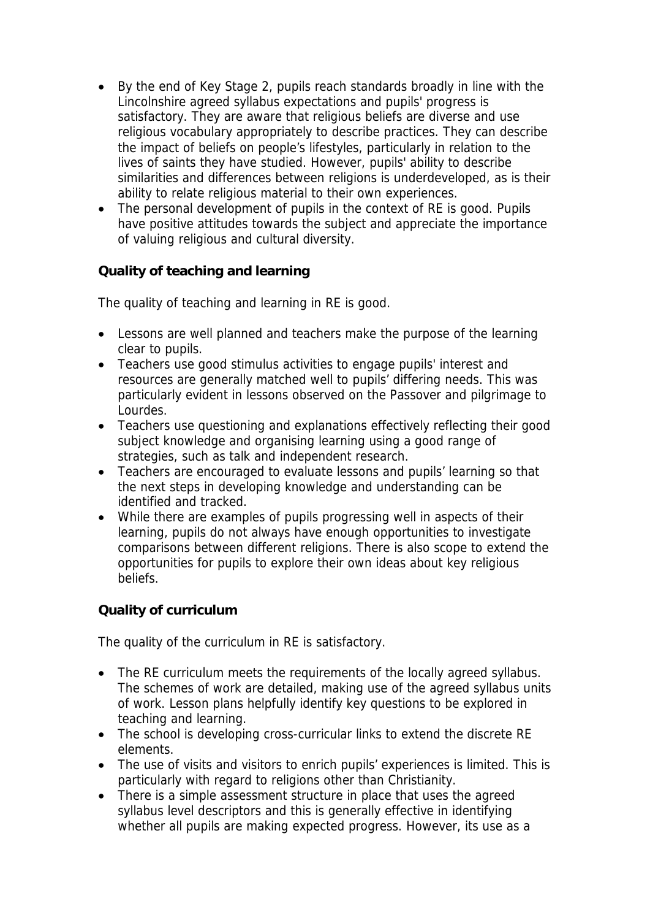- By the end of Key Stage 2, pupils reach standards broadly in line with the Lincolnshire agreed syllabus expectations and pupils' progress is satisfactory. They are aware that religious beliefs are diverse and use religious vocabulary appropriately to describe practices. They can describe the impact of beliefs on people's lifestyles, particularly in relation to the lives of saints they have studied. However, pupils' ability to describe similarities and differences between religions is underdeveloped, as is their ability to relate religious material to their own experiences.
- The personal development of pupils in the context of RE is good. Pupils have positive attitudes towards the subject and appreciate the importance of valuing religious and cultural diversity.

**Quality of teaching and learning** 

The quality of teaching and learning in RE is good.

- Lessons are well planned and teachers make the purpose of the learning clear to pupils.
- Teachers use good stimulus activities to engage pupils' interest and resources are generally matched well to pupils' differing needs. This was particularly evident in lessons observed on the Passover and pilgrimage to Lourdes.
- Teachers use questioning and explanations effectively reflecting their good subject knowledge and organising learning using a good range of strategies, such as talk and independent research.
- Teachers are encouraged to evaluate lessons and pupils' learning so that the next steps in developing knowledge and understanding can be identified and tracked.
- While there are examples of pupils progressing well in aspects of their learning, pupils do not always have enough opportunities to investigate comparisons between different religions. There is also scope to extend the opportunities for pupils to explore their own ideas about key religious beliefs.

**Quality of curriculum** 

The quality of the curriculum in RE is satisfactory.

- The RE curriculum meets the requirements of the locally agreed syllabus. The schemes of work are detailed, making use of the agreed syllabus units of work. Lesson plans helpfully identify key questions to be explored in teaching and learning.
- The school is developing cross-curricular links to extend the discrete RE elements.
- The use of visits and visitors to enrich pupils' experiences is limited. This is particularly with regard to religions other than Christianity.
- particularity with regard to reagnement structure in place that uses the agreed syllabus level descriptors and this is generally effective in identifying whether all pupils are making expected progress. However, its use as a